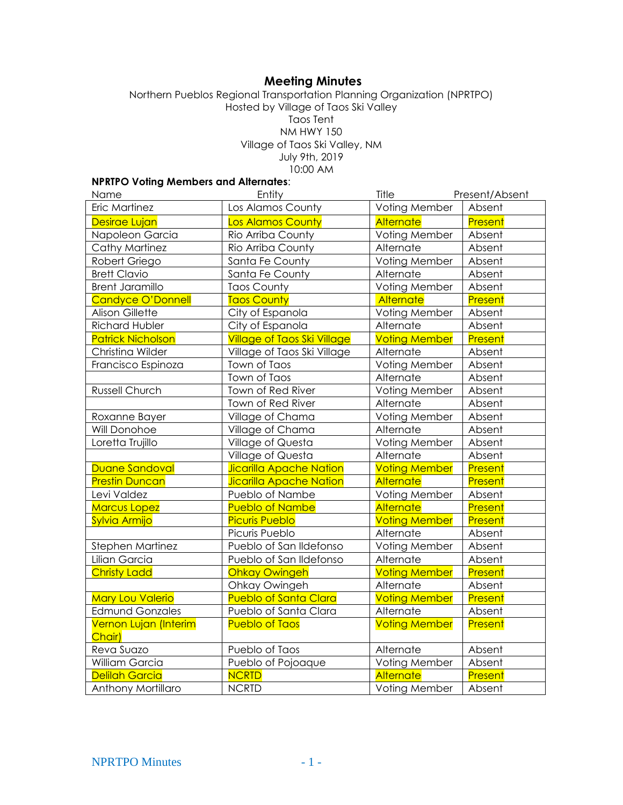# **Meeting Minutes**

#### Northern Pueblos Regional Transportation Planning Organization (NPRTPO) Hosted by Village of Taos Ski Valley Taos Tent NM HWY 150 Village of Taos Ski Valley, NM July 9th, 2019 10:00 AM

### **NPRTPO Voting Members and Alternates**:

| Name                            | Entity                             | Title                | Present/Absent |
|---------------------------------|------------------------------------|----------------------|----------------|
| Eric Martinez                   | Los Alamos County                  | Voting Member        | Absent         |
| Desirae Lujan                   | Los Alamos County                  | Alternate            | Present        |
| Napoleon Garcia                 | Rio Arriba County                  | Voting Member        | Absent         |
| Cathy Martinez                  | Rio Arriba County                  | Alternate            | Absent         |
| Robert Griego                   | Santa Fe County                    | Voting Member        | Absent         |
| <b>Brett Clavio</b>             | Santa Fe County                    | Alternate            | Absent         |
| <b>Brent Jaramillo</b>          | <b>Taos County</b>                 | Voting Member        | Absent         |
| Candyce O'Donnell               | <b>Taos County</b>                 | Alternate            | Present        |
| <b>Alison Gillette</b>          | City of Espanola                   | Voting Member        | Absent         |
| <b>Richard Hubler</b>           | City of Espanola                   | Alternate            | Absent         |
| <b>Patrick Nicholson</b>        | <b>Village of Taos Ski Village</b> | <b>Voting Member</b> | Present        |
| Christina Wilder                | Village of Taos Ski Village        | Alternate            | Absent         |
| Francisco Espinoza              | Town of Taos                       | Voting Member        | Absent         |
|                                 | Town of Taos                       | Alternate            | Absent         |
| Russell Church                  | Town of Red River                  | Voting Member        | Absent         |
|                                 | Town of Red River                  | Alternate            | Absent         |
| Roxanne Bayer                   | Village of Chama                   | Voting Member        | Absent         |
| Will Donohoe                    | Village of Chama                   | Alternate            | Absent         |
| Loretta Trujillo                | Village of Questa                  | Voting Member        | Absent         |
|                                 | Village of Questa                  | Alternate            | Absent         |
| Duane Sandoval                  | <b>Jicarilla Apache Nation</b>     | <b>Voting Member</b> | Present        |
| <b>Prestin Duncan</b>           | <b>Jicarilla Apache Nation</b>     | <b>Alternate</b>     | Present        |
| Levi Valdez                     | Pueblo of Nambe                    | Voting Member        | Absent         |
| <b>Marcus Lopez</b>             | <b>Pueblo of Nambe</b>             | Alternate            | Present        |
| Sylvia Armijo                   | <b>Picuris Pueblo</b>              | <b>Voting Member</b> | Present        |
|                                 | Picuris Pueblo                     | Alternate            | Absent         |
| <b>Stephen Martinez</b>         | Pueblo of San Ildefonso            | Voting Member        | Absent         |
| Lilian Garcia                   | Pueblo of San Ildefonso            | Alternate            | Absent         |
| <b>Christy Ladd</b>             | <b>Ohkay Owingeh</b>               | <b>Voting Member</b> | Present        |
|                                 | Ohkay Owingeh                      | Alternate            | Absent         |
| <b>Mary Lou Valerio</b>         | <b>Pueblo of Santa Clara</b>       | <b>Voting Member</b> | Present        |
| <b>Edmund Gonzales</b>          | Pueblo of Santa Clara              | Alternate            | Absent         |
| Vernon Lujan (Interim<br>Chair) | <b>Pueblo of Taos</b>              | <b>Voting Member</b> | Present        |
| Reva Suazo                      | Pueblo of Taos                     | Alternate            | Absent         |
| William Garcia                  | Pueblo of Pojoaque                 | Voting Member        | Absent         |
| <b>Delilah Garcia</b>           | <b>NCRTD</b>                       | Alternate            | Present        |
| Anthony Mortillaro              | <b>NCRTD</b>                       | Voting Member        | Absent         |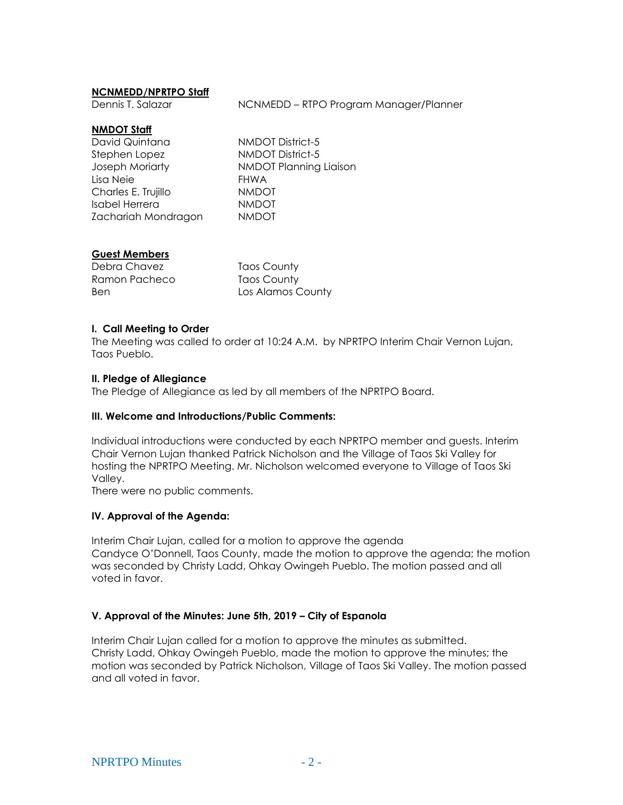### **NCNMEDD/NPRTPO Staff**

Dennis T. Salazar NCNMEDD – RTPO Program Manager/Planner

### **NMDOT Staff**

| David Quintana        | NMDOT District-5        |
|-----------------------|-------------------------|
| Stephen Lopez         | <b>NMDOT District-5</b> |
| Joseph Moriarty       | NMDOT Planning Liaison  |
| Lisa Neie             | <b>FHWA</b>             |
| Charles E. Trujillo   | <b>NMDOT</b>            |
| <b>Isabel Herrera</b> | <b>NMDOT</b>            |
| Zachariah Mondragon   | <b>NMDOT</b>            |

# **Guest Members**

| Debra Chavez  | Taos County       |
|---------------|-------------------|
| Ramon Pacheco | Taos County       |
| Ben           | Los Alamos County |

### **I. Call Meeting to Order**

The Meeting was called to order at 10:24 A.M. by NPRTPO Interim Chair Vernon Lujan, Taos Pueblo.

### **II. Pledge of Allegiance**

The Pledge of Allegiance as led by all members of the NPRTPO Board.

### **III. Welcome and Introductions/Public Comments:**

Individual introductions were conducted by each NPRTPO member and guests. Interim Chair Vernon Lujan thanked Patrick Nicholson and the Village of Taos Ski Valley for hosting the NPRTPO Meeting. Mr. Nicholson welcomed everyone to Village of Taos Ski Valley.

There were no public comments.

### **IV. Approval of the Agenda:**

Interim Chair Lujan, called for a motion to approve the agenda Candyce O'Donnell, Taos County, made the motion to approve the agenda; the motion was seconded by Christy Ladd, Ohkay Owingeh Pueblo. The motion passed and all voted in favor.

### **V. Approval of the Minutes: June 5th, 2019 – City of Espanola**

Interim Chair Lujan called for a motion to approve the minutes as submitted. Christy Ladd, Ohkay Owingeh Pueblo, made the motion to approve the minutes; the motion was seconded by Patrick Nicholson, Village of Taos Ski Valley. The motion passed and all voted in favor.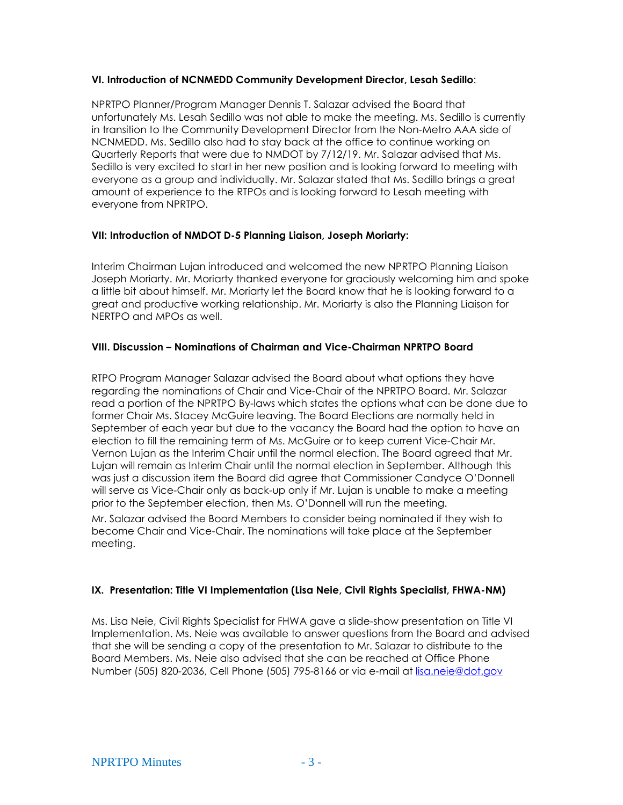### **VI. Introduction of NCNMEDD Community Development Director, Lesah Sedillo**:

NPRTPO Planner/Program Manager Dennis T. Salazar advised the Board that unfortunately Ms. Lesah Sedillo was not able to make the meeting. Ms. Sedillo is currently in transition to the Community Development Director from the Non-Metro AAA side of NCNMEDD. Ms. Sedillo also had to stay back at the office to continue working on Quarterly Reports that were due to NMDOT by 7/12/19. Mr. Salazar advised that Ms. Sedillo is very excited to start in her new position and is looking forward to meeting with everyone as a group and individually. Mr. Salazar stated that Ms. Sedillo brings a great amount of experience to the RTPOs and is looking forward to Lesah meeting with everyone from NPRTPO.

### **VII: Introduction of NMDOT D-5 Planning Liaison, Joseph Moriarty:**

Interim Chairman Lujan introduced and welcomed the new NPRTPO Planning Liaison Joseph Moriarty. Mr. Moriarty thanked everyone for graciously welcoming him and spoke a little bit about himself. Mr. Moriarty let the Board know that he is looking forward to a great and productive working relationship. Mr. Moriarty is also the Planning Liaison for NERTPO and MPOs as well.

# **VIII. Discussion – Nominations of Chairman and Vice-Chairman NPRTPO Board**

RTPO Program Manager Salazar advised the Board about what options they have regarding the nominations of Chair and Vice-Chair of the NPRTPO Board. Mr. Salazar read a portion of the NPRTPO By-laws which states the options what can be done due to former Chair Ms. Stacey McGuire leaving. The Board Elections are normally held in September of each year but due to the vacancy the Board had the option to have an election to fill the remaining term of Ms. McGuire or to keep current Vice-Chair Mr. Vernon Lujan as the Interim Chair until the normal election. The Board agreed that Mr. Lujan will remain as Interim Chair until the normal election in September. Although this was just a discussion item the Board did agree that Commissioner Candyce O'Donnell will serve as Vice-Chair only as back-up only if Mr. Lujan is unable to make a meeting prior to the September election, then Ms. O'Donnell will run the meeting.

Mr. Salazar advised the Board Members to consider being nominated if they wish to become Chair and Vice-Chair. The nominations will take place at the September meeting.

# **IX. Presentation: Title VI Implementation (Lisa Neie, Civil Rights Specialist, FHWA-NM)**

Ms. Lisa Neie, Civil Rights Specialist for FHWA gave a slide-show presentation on Title VI Implementation. Ms. Neie was available to answer questions from the Board and advised that she will be sending a copy of the presentation to Mr. Salazar to distribute to the Board Members. Ms. Neie also advised that she can be reached at Office Phone Number (505) 820-2036, Cell Phone (505) 795-8166 or via e-mail at [lisa.neie@dot.gov](mailto:lisa.neie@dot.gov)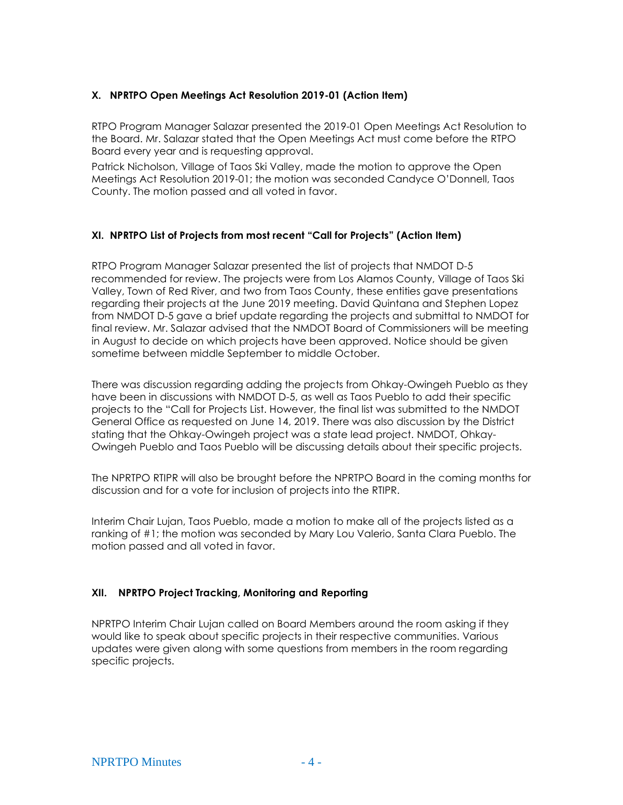# **X. NPRTPO Open Meetings Act Resolution 2019-01 (Action Item)**

RTPO Program Manager Salazar presented the 2019-01 Open Meetings Act Resolution to the Board. Mr. Salazar stated that the Open Meetings Act must come before the RTPO Board every year and is requesting approval.

Patrick Nicholson, Village of Taos Ski Valley, made the motion to approve the Open Meetings Act Resolution 2019-01; the motion was seconded Candyce O'Donnell, Taos County. The motion passed and all voted in favor.

### **XI. NPRTPO List of Projects from most recent "Call for Projects" (Action Item)**

RTPO Program Manager Salazar presented the list of projects that NMDOT D-5 recommended for review. The projects were from Los Alamos County, Village of Taos Ski Valley, Town of Red River, and two from Taos County, these entities gave presentations regarding their projects at the June 2019 meeting. David Quintana and Stephen Lopez from NMDOT D-5 gave a brief update regarding the projects and submittal to NMDOT for final review. Mr. Salazar advised that the NMDOT Board of Commissioners will be meeting in August to decide on which projects have been approved. Notice should be given sometime between middle September to middle October.

There was discussion regarding adding the projects from Ohkay-Owingeh Pueblo as they have been in discussions with NMDOT D-5, as well as Taos Pueblo to add their specific projects to the "Call for Projects List. However, the final list was submitted to the NMDOT General Office as requested on June 14, 2019. There was also discussion by the District stating that the Ohkay-Owingeh project was a state lead project. NMDOT, Ohkay-Owingeh Pueblo and Taos Pueblo will be discussing details about their specific projects.

The NPRTPO RTIPR will also be brought before the NPRTPO Board in the coming months for discussion and for a vote for inclusion of projects into the RTIPR.

Interim Chair Lujan, Taos Pueblo, made a motion to make all of the projects listed as a ranking of #1; the motion was seconded by Mary Lou Valerio, Santa Clara Pueblo. The motion passed and all voted in favor.

### **XII. NPRTPO Project Tracking, Monitoring and Reporting**

NPRTPO Interim Chair Lujan called on Board Members around the room asking if they would like to speak about specific projects in their respective communities. Various updates were given along with some questions from members in the room regarding specific projects.